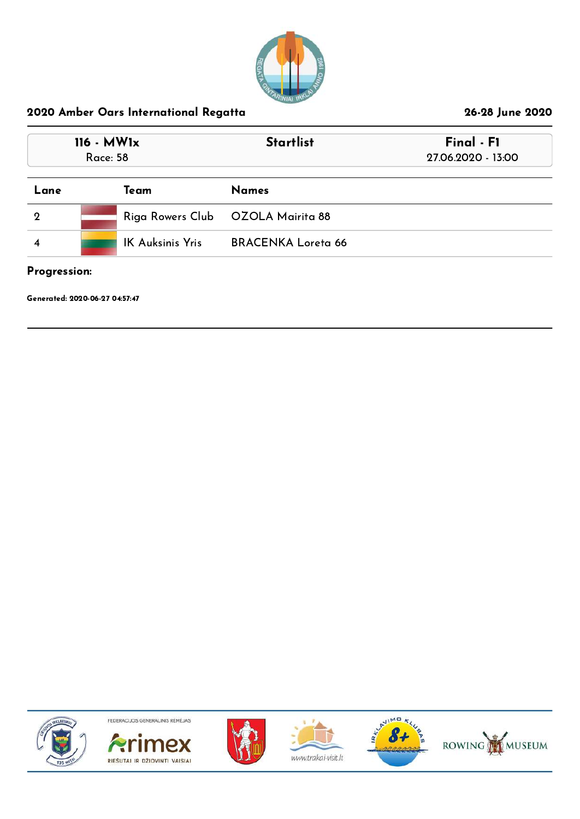

| $116 - MW1x$<br><b>Race: 58</b> |                         | <b>Startlist</b>                  | Final - F1<br>27.06.2020 - 13:00 |
|---------------------------------|-------------------------|-----------------------------------|----------------------------------|
| Lane                            | Team                    | <b>Names</b>                      |                                  |
| $\mathbf 2$                     |                         | Riga Rowers Club OZOLA Mairita 88 |                                  |
|                                 | <b>IK Auksinis Yris</b> | <b>BRACENKA Loreta 66</b>         |                                  |

Progression:

Generated: 2020-06-27 04:57:47











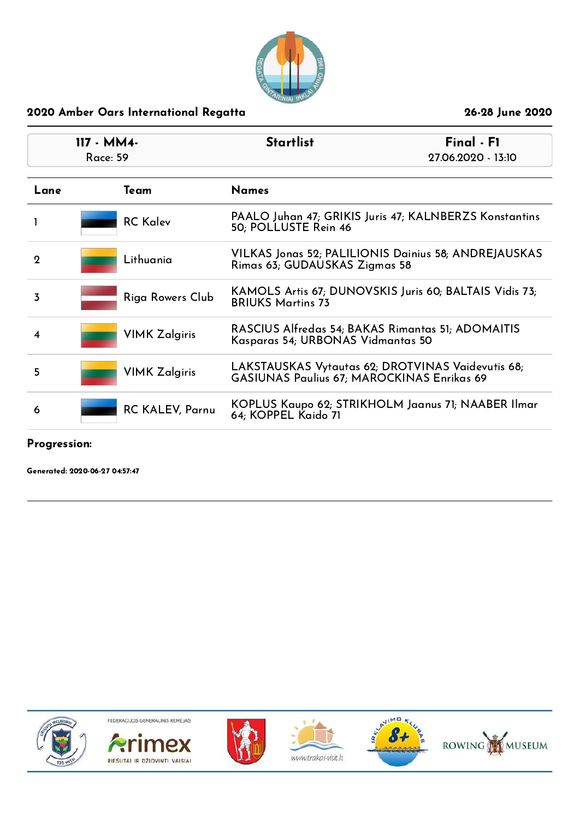

| $117 - MM4 -$<br>Race: 59 |                        | <b>Startlist</b>                                                                                | Final - F1<br>27.06.2020 - 13:10 |
|---------------------------|------------------------|-------------------------------------------------------------------------------------------------|----------------------------------|
| Lane                      | Team                   | <b>Names</b>                                                                                    |                                  |
|                           | <b>RC Kalev</b>        | PAALO Juhan 47; GRIKIS Juris 47; KALNBERZS Konstantins<br>50; POLLUSTE Rein 46                  |                                  |
| $\mathbf 2$               | Lithuania              | VILKAS Jonas 52; PALILIONIS Dainius 58; ANDREJAUSKAS<br>Rimas 63; GUDAUSKAS Zigmas 58           |                                  |
| 3                         | Riga Rowers Club       | KAMOLS Artis 67; DUNOVSKIS Juris 60; BALTAIS Vidis 73;<br><b>BRIUKS Martins 73</b>              |                                  |
| 4                         | <b>VIMK Zalgiris</b>   | RASCIUS Alfredas 54; BAKAS Rimantas 51; ADOMAITIS<br>Kasparas 54; URBONAS Vidmantas 50          |                                  |
| 5                         | <b>VIMK Zalgiris</b>   | LAKSTAUSKAS Vytautas 62; DROTVINAS Vaidevutis 68;<br>GASIUNAS Paulius 67; MAROCKINAS Enrikas 69 |                                  |
| 6                         | <b>RC KALEV, Parnu</b> | KOPLUS Kaupo 62; STRIKHOLM Jaanus 71; NAABER Ilmar<br>64; KOPPEL Kaido 71                       |                                  |

Progression:

Generated: 2020-06-27 04:57:47











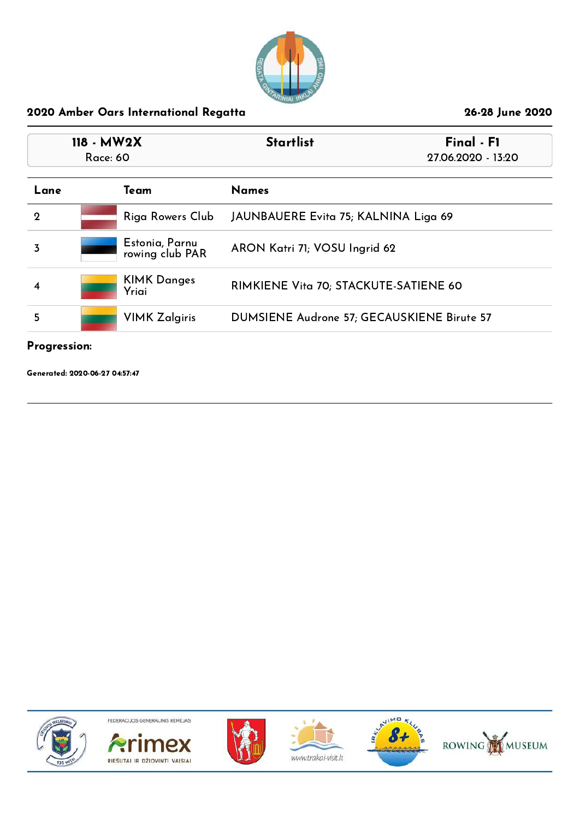

| 118 - MW2X<br>Race: 60 |                                   | <b>Startlist</b>                           | Final - F1<br>27.06.2020 - 13:20 |
|------------------------|-----------------------------------|--------------------------------------------|----------------------------------|
| Lane                   | Team                              | <b>Names</b>                               |                                  |
| $\mathbf 2$            | Riga Rowers Club                  | JAUNBAUERE Evita 75; KALNINA Liga 69       |                                  |
| 3                      | Estonia, Parnu<br>rowing club PAR | ARON Katri 71; VOSU Ingrid 62              |                                  |
| 4                      | <b>KIMK Danges</b><br>Yriai       | RIMKIENE Vita 70; STACKUTE-SATIENE 60      |                                  |
| 5                      | <b>VIMK Zalgiris</b>              | DUMSIENE Audrone 57; GECAUSKIENE Birute 57 |                                  |
| Progression:           |                                   |                                            |                                  |

Generated: 2020-06-27 04:57:47











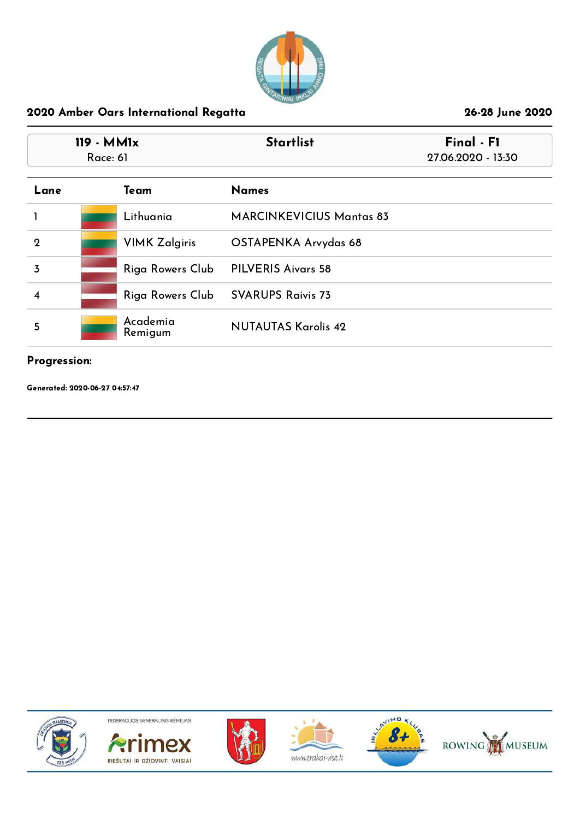

|                | 119 - MM1x<br>Race: 61 | <b>Startlist</b>                | Final - F1<br>27.06.2020 - 13:30 |
|----------------|------------------------|---------------------------------|----------------------------------|
| Lane           | Team                   | <b>Names</b>                    |                                  |
|                | Lithuania              | <b>MARCINKEVICIUS Mantas 83</b> |                                  |
| $\overline{2}$ | <b>VIMK Zalgiris</b>   | OSTAPENKA Arvydas 68            |                                  |
| $\overline{3}$ | Riga Rowers Club       | <b>PILVERIS Aivars 58</b>       |                                  |
| 4              | Riga Rowers Club       | <b>SVARUPS Raivis 73</b>        |                                  |
| 5              | Academia<br>Remigum    | <b>NUTAUTAS Karolis 42</b>      |                                  |

# Progression:

Generated: 2020-06-27 04:57:47











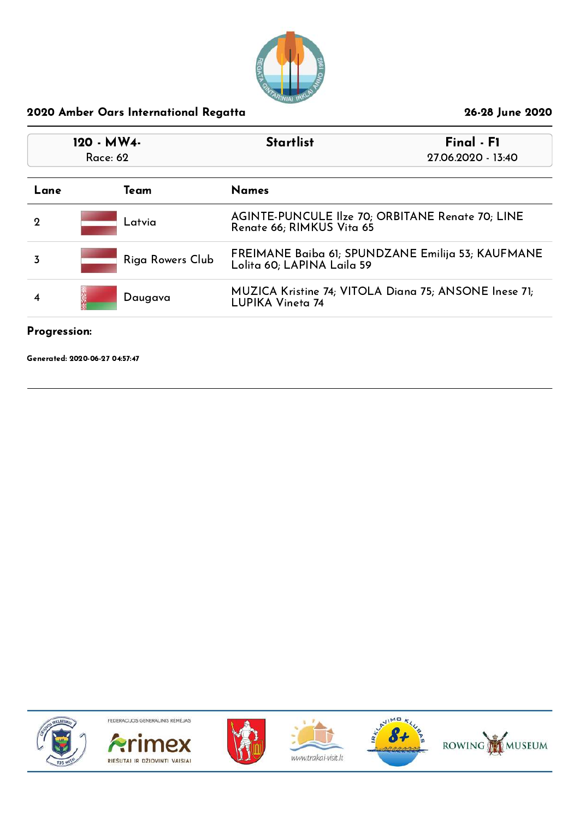

| 120 - MW4-<br>Race: 62 |                  | <b>Startlist</b><br>Final - F1<br>27.06.2020 - 13:40                             |
|------------------------|------------------|----------------------------------------------------------------------------------|
| Lane                   | Team             | <b>Names</b>                                                                     |
| 2                      | Latvia           | AGINTE-PUNCULE Ilze 70; ORBITANE Renate 70; LINE<br>Renate 66; RIMKUS Vita 65    |
| 3                      | Riga Rowers Club | FREIMANE Baiba 61; SPUNDZANE Emilija 53; KAUFMANE<br>Lolita 60; LAPINA Laila 59  |
| 4                      | Daugava          | MUZICA Kristine 74; VITOLA Diana 75; ANSONE Inese 71;<br><b>LUPIKA Vineta 74</b> |
|                        |                  |                                                                                  |

### Progression:

Generated: 2020-06-27 04:57:47